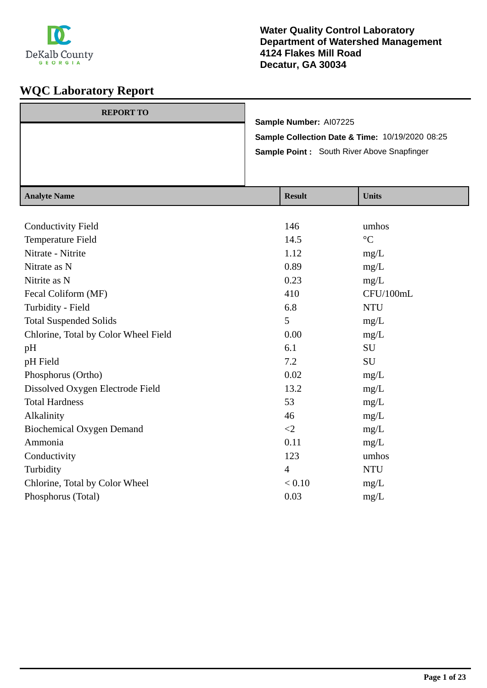

 $\frac{1}{\text{Rank}}$ 

| <b>REPORT TO</b> |                                                 |
|------------------|-------------------------------------------------|
|                  | Sample Number: AI07225                          |
|                  | Sample Collection Date & Time: 10/19/2020 08:25 |
|                  | Sample Point: South River Above Snapfinger      |
|                  |                                                 |
|                  |                                                 |

| <b>Result</b>  | <b>Units</b>    |
|----------------|-----------------|
|                |                 |
| 146            | umhos           |
| 14.5           | $\rm ^{\circ}C$ |
| 1.12           | mg/L            |
| 0.89           | mg/L            |
| 0.23           | mg/L            |
| 410            | CFU/100mL       |
| 6.8            | <b>NTU</b>      |
| 5              | mg/L            |
| 0.00           | mg/L            |
| 6.1            | SU              |
| 7.2            | SU              |
| 0.02           | mg/L            |
| 13.2           | mg/L            |
| 53             | mg/L            |
| 46             | mg/L            |
| $\leq$ 2       | mg/L            |
| 0.11           | mg/L            |
| 123            | umhos           |
| $\overline{4}$ | <b>NTU</b>      |
| < 0.10         | mg/L            |
| 0.03           | mg/L            |
|                |                 |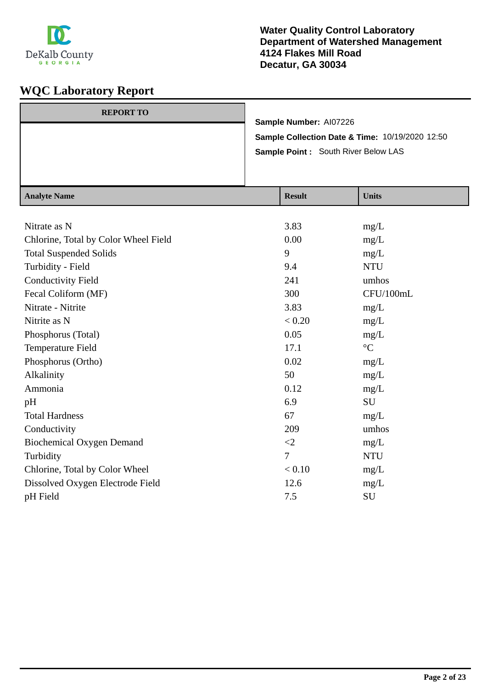

| <b>REPORT TO</b> |                                                 |
|------------------|-------------------------------------------------|
|                  | Sample Number: Al07226                          |
|                  | Sample Collection Date & Time: 10/19/2020 12:50 |
|                  | Sample Point : South River Below LAS            |
|                  |                                                 |
|                  |                                                 |

| <b>Analyte Name</b>                  | <b>Result</b>  | <b>Units</b>    |
|--------------------------------------|----------------|-----------------|
|                                      |                |                 |
| Nitrate as N                         | 3.83           | mg/L            |
| Chlorine, Total by Color Wheel Field | 0.00           | mg/L            |
| <b>Total Suspended Solids</b>        | 9              | mg/L            |
| Turbidity - Field                    | 9.4            | <b>NTU</b>      |
| <b>Conductivity Field</b>            | 241            | umhos           |
| Fecal Coliform (MF)                  | 300            | CFU/100mL       |
| Nitrate - Nitrite                    | 3.83           | mg/L            |
| Nitrite as N                         | < 0.20         | mg/L            |
| Phosphorus (Total)                   | 0.05           | mg/L            |
| Temperature Field                    | 17.1           | $\rm ^{\circ}C$ |
| Phosphorus (Ortho)                   | 0.02           | mg/L            |
| Alkalinity                           | 50             | mg/L            |
| Ammonia                              | 0.12           | mg/L            |
| pH                                   | 6.9            | <b>SU</b>       |
| <b>Total Hardness</b>                | 67             | mg/L            |
| Conductivity                         | 209            | umhos           |
| <b>Biochemical Oxygen Demand</b>     | $\leq$ 2       | mg/L            |
| Turbidity                            | $\overline{7}$ | <b>NTU</b>      |
| Chlorine, Total by Color Wheel       | < 0.10         | mg/L            |
| Dissolved Oxygen Electrode Field     | 12.6           | mg/L            |
| pH Field                             | 7.5            | SU              |
|                                      |                |                 |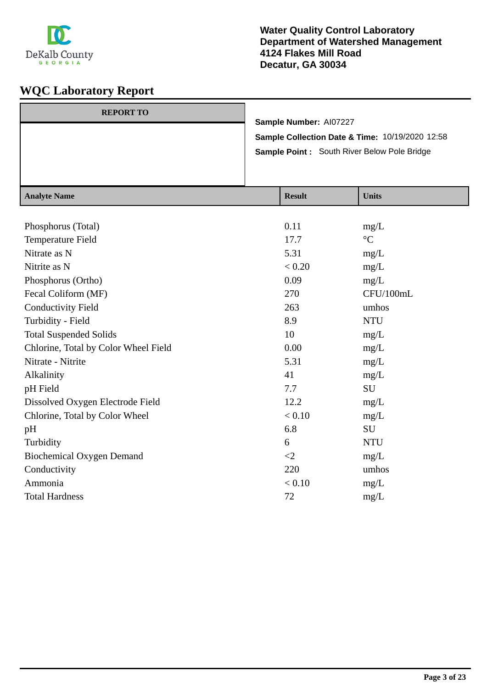

| Sample Point: South River Below Pole Bridge     |  |
|-------------------------------------------------|--|
| Sample Collection Date & Time: 10/19/2020 12:58 |  |
| Sample Number: AI07227                          |  |
| <b>REPORT TO</b>                                |  |

| <b>Analyte Name</b>                  | <b>Result</b> | <b>Units</b>    |
|--------------------------------------|---------------|-----------------|
|                                      |               |                 |
| Phosphorus (Total)                   | 0.11          | mg/L            |
| Temperature Field                    | 17.7          | $\rm ^{\circ}C$ |
| Nitrate as N                         | 5.31          | mg/L            |
| Nitrite as N                         | < 0.20        | mg/L            |
| Phosphorus (Ortho)                   | 0.09          | mg/L            |
| Fecal Coliform (MF)                  | 270           | CFU/100mL       |
| <b>Conductivity Field</b>            | 263           | umhos           |
| Turbidity - Field                    | 8.9           | <b>NTU</b>      |
| <b>Total Suspended Solids</b>        | 10            | mg/L            |
| Chlorine, Total by Color Wheel Field | 0.00          | mg/L            |
| Nitrate - Nitrite                    | 5.31          | mg/L            |
| Alkalinity                           | 41            | mg/L            |
| pH Field                             | 7.7           | <b>SU</b>       |
| Dissolved Oxygen Electrode Field     | 12.2          | mg/L            |
| Chlorine, Total by Color Wheel       | < 0.10        | mg/L            |
| pH                                   | 6.8           | <b>SU</b>       |
| Turbidity                            | 6             | <b>NTU</b>      |
| <b>Biochemical Oxygen Demand</b>     | $\leq$        | mg/L            |
| Conductivity                         | 220           | umhos           |
| Ammonia                              | < 0.10        | mg/L            |
| <b>Total Hardness</b>                | 72            | mg/L            |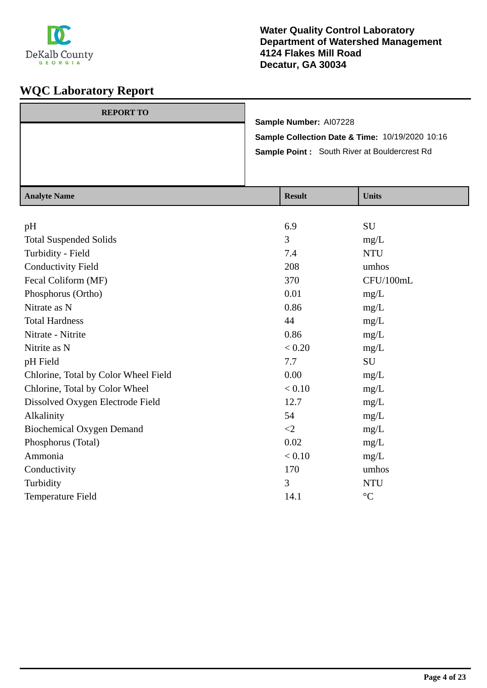

| <b>REPORT TO</b> |                                                     |
|------------------|-----------------------------------------------------|
|                  | Sample Number: AI07228                              |
|                  | Sample Collection Date & Time: 10/19/2020 10:16     |
|                  | <b>Sample Point:</b> South River at Bouldercrest Rd |
|                  |                                                     |
|                  |                                                     |

| <b>Analyte Name</b>                  | <b>Result</b> | <b>Units</b> |
|--------------------------------------|---------------|--------------|
|                                      |               |              |
| pH                                   | 6.9           | SU           |
| <b>Total Suspended Solids</b>        | 3             | mg/L         |
| Turbidity - Field                    | 7.4           | <b>NTU</b>   |
| <b>Conductivity Field</b>            | 208           | umhos        |
| Fecal Coliform (MF)                  | 370           | CFU/100mL    |
| Phosphorus (Ortho)                   | 0.01          | mg/L         |
| Nitrate as N                         | 0.86          | mg/L         |
| <b>Total Hardness</b>                | 44            | mg/L         |
| Nitrate - Nitrite                    | 0.86          | mg/L         |
| Nitrite as N                         | < 0.20        | mg/L         |
| pH Field                             | 7.7           | SU           |
| Chlorine, Total by Color Wheel Field | 0.00          | mg/L         |
| Chlorine, Total by Color Wheel       | < 0.10        | mg/L         |
| Dissolved Oxygen Electrode Field     | 12.7          | mg/L         |
| Alkalinity                           | 54            | mg/L         |
| <b>Biochemical Oxygen Demand</b>     | $\langle 2$   | mg/L         |
| Phosphorus (Total)                   | 0.02          | mg/L         |
| Ammonia                              | < 0.10        | mg/L         |
| Conductivity                         | 170           | umhos        |
| Turbidity                            | 3             | <b>NTU</b>   |
| Temperature Field                    | 14.1          | $^{\circ}C$  |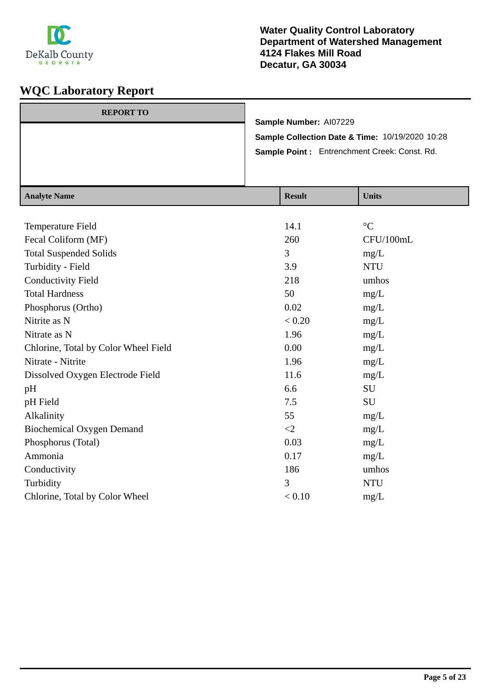

|                  |                                                 |  |                        | Sample Point: Entrenchment Creek: Const. Rd. |  |
|------------------|-------------------------------------------------|--|------------------------|----------------------------------------------|--|
|                  | Sample Collection Date & Time: 10/19/2020 10:28 |  |                        |                                              |  |
| <b>REPORT TO</b> |                                                 |  | Sample Number: Al07229 |                                              |  |

| <b>Analyte Name</b>                  | <b>Result</b> | <b>Units</b>    |
|--------------------------------------|---------------|-----------------|
|                                      |               |                 |
| Temperature Field                    | 14.1          | $\rm ^{\circ}C$ |
| Fecal Coliform (MF)                  | 260           | CFU/100mL       |
| <b>Total Suspended Solids</b>        | 3             | mg/L            |
| Turbidity - Field                    | 3.9           | <b>NTU</b>      |
| <b>Conductivity Field</b>            | 218           | umhos           |
| <b>Total Hardness</b>                | 50            | mg/L            |
| Phosphorus (Ortho)                   | 0.02          | mg/L            |
| Nitrite as N                         | < 0.20        | mg/L            |
| Nitrate as N                         | 1.96          | mg/L            |
| Chlorine, Total by Color Wheel Field | 0.00          | mg/L            |
| Nitrate - Nitrite                    | 1.96          | mg/L            |
| Dissolved Oxygen Electrode Field     | 11.6          | mg/L            |
| pH                                   | 6.6           | SU              |
| pH Field                             | 7.5           | SU              |
| Alkalinity                           | 55            | mg/L            |
| <b>Biochemical Oxygen Demand</b>     | $\langle 2$   | mg/L            |
| Phosphorus (Total)                   | 0.03          | mg/L            |
| Ammonia                              | 0.17          | mg/L            |
| Conductivity                         | 186           | umhos           |
| Turbidity                            | 3             | <b>NTU</b>      |
| Chlorine, Total by Color Wheel       | < 0.10        | mg/L            |
|                                      |               |                 |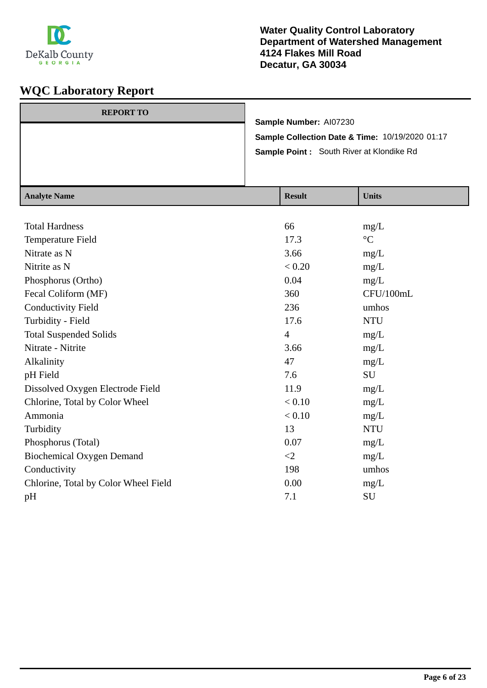

#### **Water Quality Control Laboratory Department of Watershed Management 4124 Flakes Mill Road Decatur, GA 30034**

| <b>REPORT TO</b> |                                                 |
|------------------|-------------------------------------------------|
|                  | Sample Number: Al07230                          |
|                  | Sample Collection Date & Time: 10/19/2020 01:17 |
|                  | <b>Sample Point:</b> South River at Klondike Rd |
|                  |                                                 |
|                  |                                                 |

| <b>Analyte Name</b>                  | <b>Result</b>  | <b>Units</b>    |
|--------------------------------------|----------------|-----------------|
|                                      |                |                 |
| <b>Total Hardness</b>                | 66             | mg/L            |
| Temperature Field                    | 17.3           | $\rm ^{\circ}C$ |
| Nitrate as N                         | 3.66           | mg/L            |
| Nitrite as N                         | < 0.20         | mg/L            |
| Phosphorus (Ortho)                   | 0.04           | mg/L            |
| Fecal Coliform (MF)                  | 360            | CFU/100mL       |
| <b>Conductivity Field</b>            | 236            | umhos           |
| Turbidity - Field                    | 17.6           | <b>NTU</b>      |
| <b>Total Suspended Solids</b>        | $\overline{4}$ | mg/L            |
| Nitrate - Nitrite                    | 3.66           | mg/L            |
| Alkalinity                           | 47             | mg/L            |
| pH Field                             | 7.6            | SU              |
| Dissolved Oxygen Electrode Field     | 11.9           | mg/L            |
| Chlorine, Total by Color Wheel       | < 0.10         | mg/L            |
| Ammonia                              | < 0.10         | mg/L            |
| Turbidity                            | 13             | <b>NTU</b>      |
| Phosphorus (Total)                   | 0.07           | mg/L            |
| <b>Biochemical Oxygen Demand</b>     | $\leq$ 2       | mg/L            |
| Conductivity                         | 198            | umhos           |
| Chlorine, Total by Color Wheel Field | 0.00           | mg/L            |
| pH                                   | 7.1            | SU              |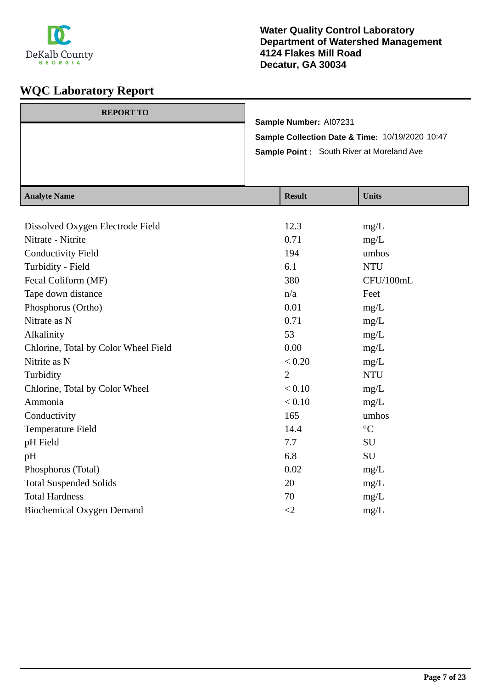

#### **Water Quality Control Laboratory Department of Watershed Management 4124 Flakes Mill Road Decatur, GA 30034**

| <b>REPORT TO</b> |                                                  |
|------------------|--------------------------------------------------|
|                  | Sample Number: AI07231                           |
|                  | Sample Collection Date & Time: 10/19/2020 10:47  |
|                  | <b>Sample Point:</b> South River at Moreland Ave |
|                  |                                                  |
|                  |                                                  |

| <b>Analyte Name</b>                  | <b>Result</b>  | <b>Units</b>    |
|--------------------------------------|----------------|-----------------|
|                                      |                |                 |
| Dissolved Oxygen Electrode Field     | 12.3           | mg/L            |
| Nitrate - Nitrite                    | 0.71           | mg/L            |
| <b>Conductivity Field</b>            | 194            | umhos           |
| Turbidity - Field                    | 6.1            | <b>NTU</b>      |
| Fecal Coliform (MF)                  | 380            | CFU/100mL       |
| Tape down distance                   | n/a            | Feet            |
| Phosphorus (Ortho)                   | 0.01           | mg/L            |
| Nitrate as N                         | 0.71           | mg/L            |
| Alkalinity                           | 53             | mg/L            |
| Chlorine, Total by Color Wheel Field | 0.00           | mg/L            |
| Nitrite as N                         | < 0.20         | mg/L            |
| Turbidity                            | $\overline{2}$ | <b>NTU</b>      |
| Chlorine, Total by Color Wheel       | < 0.10         | mg/L            |
| Ammonia                              | < 0.10         | mg/L            |
| Conductivity                         | 165            | umhos           |
| Temperature Field                    | 14.4           | $\rm ^{\circ}C$ |
| pH Field                             | 7.7            | SU              |
| pH                                   | 6.8            | SU              |
| Phosphorus (Total)                   | 0.02           | mg/L            |
| <b>Total Suspended Solids</b>        | 20             | mg/L            |
| <b>Total Hardness</b>                | 70             | mg/L            |
| <b>Biochemical Oxygen Demand</b>     | $\leq$         | mg/L            |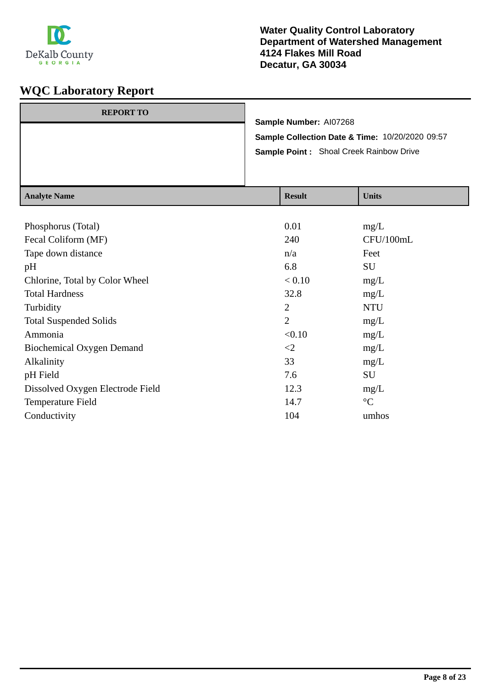

| <b>REPORT TO</b> | Sample Number: AI07268                          |  |
|------------------|-------------------------------------------------|--|
|                  | Sample Collection Date & Time: 10/20/2020 09:57 |  |
|                  | <b>Sample Point:</b> Shoal Creek Rainbow Drive  |  |
|                  |                                                 |  |
|                  |                                                 |  |

| <b>Analyte Name</b>              | <b>Result</b>  | <b>Units</b>    |
|----------------------------------|----------------|-----------------|
|                                  |                |                 |
| Phosphorus (Total)               | 0.01           | mg/L            |
| Fecal Coliform (MF)              | 240            | CFU/100mL       |
| Tape down distance               | n/a            | Feet            |
| pH                               | 6.8            | SU              |
| Chlorine, Total by Color Wheel   | < 0.10         | mg/L            |
| <b>Total Hardness</b>            | 32.8           | mg/L            |
| Turbidity                        | $\overline{2}$ | <b>NTU</b>      |
| <b>Total Suspended Solids</b>    | $\overline{2}$ | mg/L            |
| Ammonia                          | < 0.10         | mg/L            |
| Biochemical Oxygen Demand        | $\leq$         | mg/L            |
| Alkalinity                       | 33             | mg/L            |
| pH Field                         | 7.6            | SU              |
| Dissolved Oxygen Electrode Field | 12.3           | mg/L            |
| Temperature Field                | 14.7           | $\rm ^{\circ}C$ |
| Conductivity                     | 104            | umhos           |
|                                  |                |                 |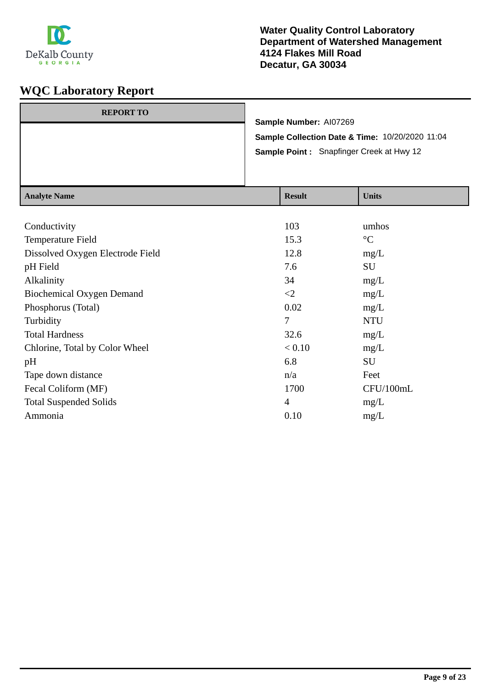

| <b>REPORT TO</b> |                                                 |
|------------------|-------------------------------------------------|
|                  | Sample Number: AI07269                          |
|                  | Sample Collection Date & Time: 10/20/2020 11:04 |
|                  | <b>Sample Point:</b> Snapfinger Creek at Hwy 12 |
|                  |                                                 |
|                  |                                                 |

| <b>Analyte Name</b>              | <b>Result</b>  | <b>Units</b>    |
|----------------------------------|----------------|-----------------|
|                                  |                |                 |
| Conductivity                     | 103            | umhos           |
| Temperature Field                | 15.3           | $\rm ^{\circ}C$ |
| Dissolved Oxygen Electrode Field | 12.8           | mg/L            |
| pH Field                         | 7.6            | SU              |
| Alkalinity                       | 34             | mg/L            |
| <b>Biochemical Oxygen Demand</b> | $\leq$         | mg/L            |
| Phosphorus (Total)               | 0.02           | mg/L            |
| Turbidity                        | 7              | <b>NTU</b>      |
| <b>Total Hardness</b>            | 32.6           | mg/L            |
| Chlorine, Total by Color Wheel   | < 0.10         | mg/L            |
| pH                               | 6.8            | SU              |
| Tape down distance               | n/a            | Feet            |
| Fecal Coliform (MF)              | 1700           | CFU/100mL       |
| <b>Total Suspended Solids</b>    | $\overline{4}$ | mg/L            |
| Ammonia                          | 0.10           | mg/L            |
|                                  |                |                 |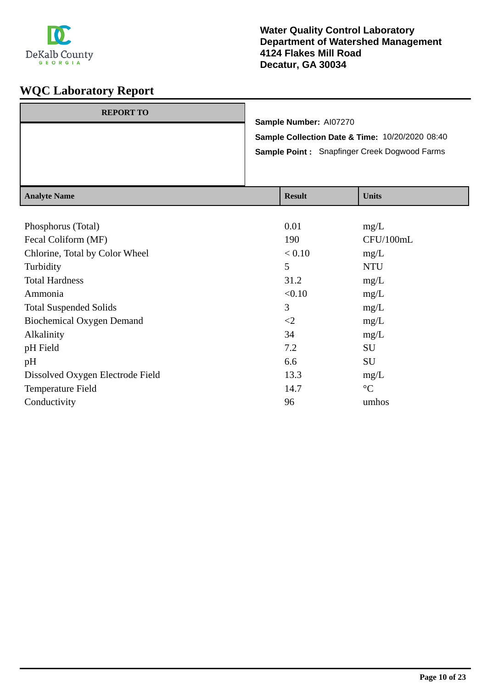

|                  | <b>Sample Point: Snapfinger Creek Dogwood Farms</b> |  |  |
|------------------|-----------------------------------------------------|--|--|
|                  | Sample Collection Date & Time: 10/20/2020 08:40     |  |  |
|                  | Sample Number: AI07270                              |  |  |
| <b>REPORT TO</b> |                                                     |  |  |

| Analyte Name                     | Result   | <b>UIIII</b> S  |
|----------------------------------|----------|-----------------|
|                                  |          |                 |
| Phosphorus (Total)               | 0.01     | mg/L            |
| Fecal Coliform (MF)              | 190      | CFU/100mL       |
| Chlorine, Total by Color Wheel   | < 0.10   | mg/L            |
| Turbidity                        | 5        | <b>NTU</b>      |
| <b>Total Hardness</b>            | 31.2     | mg/L            |
| Ammonia                          | < 0.10   | mg/L            |
| <b>Total Suspended Solids</b>    | 3        | mg/L            |
| Biochemical Oxygen Demand        | $\leq$ 2 | mg/L            |
| Alkalinity                       | 34       | mg/L            |
| pH Field                         | 7.2      | SU              |
| pH                               | 6.6      | <b>SU</b>       |
| Dissolved Oxygen Electrode Field | 13.3     | mg/L            |
| Temperature Field                | 14.7     | $\rm ^{\circ}C$ |
| Conductivity                     | 96       | umhos           |
|                                  |          |                 |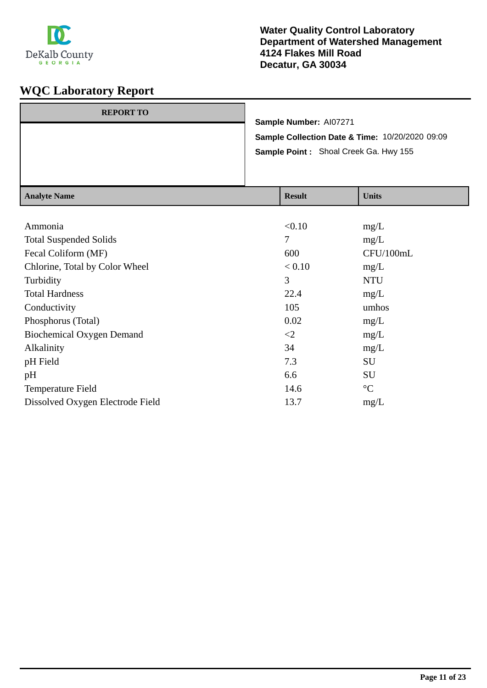

| <b>REPORT TO</b> | Sample Number: AI07271                          |
|------------------|-------------------------------------------------|
|                  | Sample Collection Date & Time: 10/20/2020 09:09 |
|                  | Sample Point: Shoal Creek Ga. Hwy 155           |
|                  |                                                 |

| <b>Result</b> | <b>Units</b>    |
|---------------|-----------------|
|               |                 |
| < 0.10        | mg/L            |
| 7             | mg/L            |
| 600           | CFU/100mL       |
| < 0.10        | mg/L            |
| 3             | <b>NTU</b>      |
| 22.4          | mg/L            |
| 105           | umhos           |
| 0.02          | mg/L            |
| $\leq$        | mg/L            |
| 34            | mg/L            |
| 7.3           | SU              |
| 6.6           | SU              |
| 14.6          | $\rm ^{\circ}C$ |
| 13.7          | mg/L            |
|               |                 |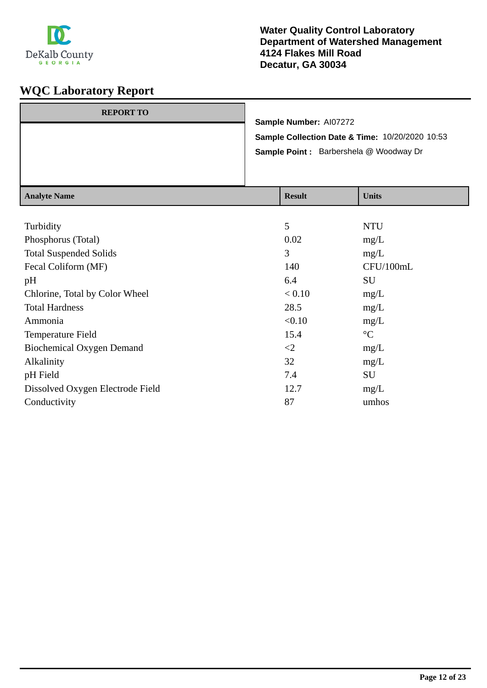

| <b>REPORT TO</b> | Sample Number: AI07272                          |  |  |
|------------------|-------------------------------------------------|--|--|
|                  | Sample Collection Date & Time: 10/20/2020 10:53 |  |  |
|                  | <b>Sample Point:</b> Barbershela @ Woodway Dr   |  |  |
|                  |                                                 |  |  |
|                  |                                                 |  |  |

| <b>Result</b> | <b>Units</b>    |
|---------------|-----------------|
|               |                 |
| 5             | <b>NTU</b>      |
| 0.02          | mg/L            |
| 3             | mg/L            |
| 140           | CFU/100mL       |
| 6.4           | SU              |
| < 0.10        | mg/L            |
| 28.5          | mg/L            |
| < 0.10        | mg/L            |
| 15.4          | $\rm ^{\circ}C$ |
| $\leq$        | mg/L            |
| 32            | mg/L            |
| 7.4           | SU              |
| 12.7          | mg/L            |
| 87            | umhos           |
|               |                 |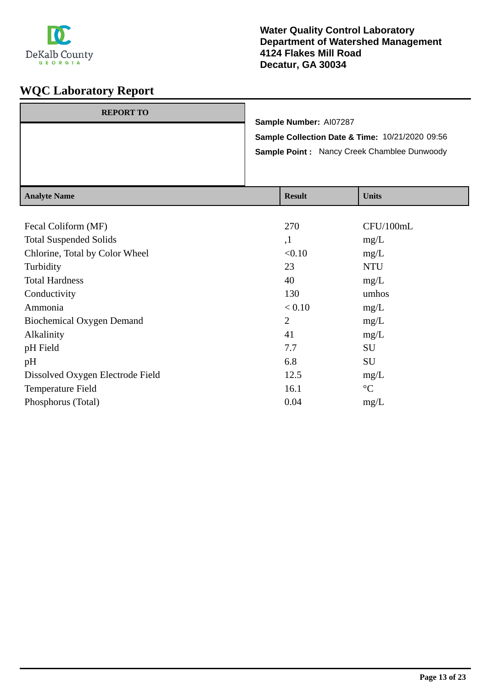

|                  | <b>Sample Collection Date &amp; Time: 10/21/2020 09:56</b><br><b>Sample Point: Nancy Creek Chamblee Dunwoody</b> |  |  |  |
|------------------|------------------------------------------------------------------------------------------------------------------|--|--|--|
|                  | Sample Number: AI07287                                                                                           |  |  |  |
| <b>REPORT TO</b> |                                                                                                                  |  |  |  |

| Analyte Isame                    | result         | UMILIS          |
|----------------------------------|----------------|-----------------|
|                                  |                |                 |
| Fecal Coliform (MF)              | 270            | CFU/100mL       |
| <b>Total Suspended Solids</b>    | ,1             | mg/L            |
| Chlorine, Total by Color Wheel   | < 0.10         | mg/L            |
| Turbidity                        | 23             | <b>NTU</b>      |
| <b>Total Hardness</b>            | 40             | mg/L            |
| Conductivity                     | 130            | umhos           |
| Ammonia                          | < 0.10         | mg/L            |
| Biochemical Oxygen Demand        | $\overline{2}$ | mg/L            |
| Alkalinity                       | 41             | mg/L            |
| pH Field                         | 7.7            | SU              |
| pH                               | 6.8            | SU              |
| Dissolved Oxygen Electrode Field | 12.5           | mg/L            |
| Temperature Field                | 16.1           | $\rm ^{\circ}C$ |
| Phosphorus (Total)               | 0.04           | mg/L            |
|                                  |                |                 |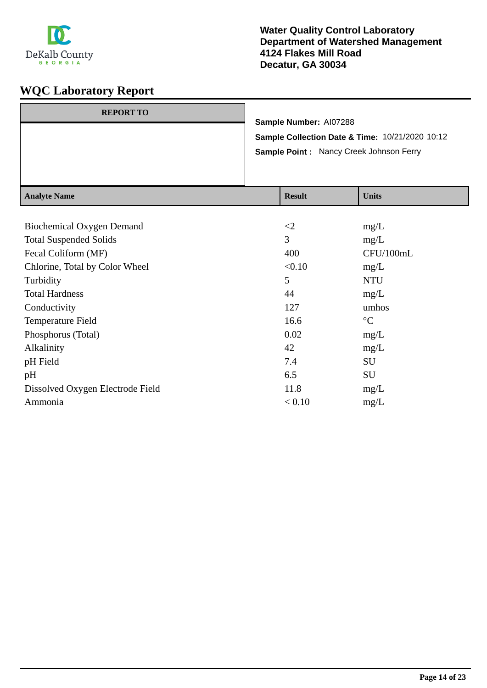

| <b>REPORT TO</b> | Sample Number: AI07288                          |
|------------------|-------------------------------------------------|
|                  | Sample Collection Date & Time: 10/21/2020 10:12 |
|                  | Sample Point: Nancy Creek Johnson Ferry         |
|                  |                                                 |

| <b>Result</b> | <b>Units</b>    |
|---------------|-----------------|
|               |                 |
| $\leq$        | mg/L            |
| 3             | mg/L            |
| 400           | CFU/100mL       |
| < 0.10        | mg/L            |
| 5             | <b>NTU</b>      |
| 44            | mg/L            |
| 127           | umhos           |
| 16.6          | $\rm ^{\circ}C$ |
| 0.02          | mg/L            |
| 42            | mg/L            |
| 7.4           | SU              |
| 6.5           | SU              |
| 11.8          | mg/L            |
| < 0.10        | mg/L            |
|               |                 |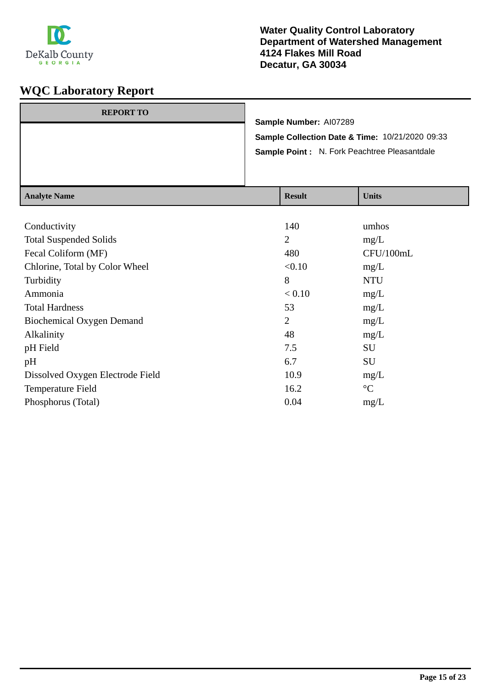

| <b>REPORT TO</b>         |                                                 | Sample Number: AI07289    |                                               |
|--------------------------|-------------------------------------------------|---------------------------|-----------------------------------------------|
|                          | Sample Collection Date & Time: 10/21/2020 09:33 |                           |                                               |
|                          |                                                 |                           | Sample Point : N. Fork Peachtree Pleasantdale |
|                          |                                                 |                           |                                               |
|                          |                                                 |                           |                                               |
| $A = -1$ $-4$ $ N$ $  -$ |                                                 | $\mathbf{D}$ $\mathbf{L}$ | $TT - 24 -$                                   |

| 140            | umhos           |
|----------------|-----------------|
| $\overline{2}$ | mg/L            |
| 480            | CFU/100mL       |
| < 0.10         | mg/L            |
| 8              | <b>NTU</b>      |
| < 0.10         | mg/L            |
| 53             | mg/L            |
| $\overline{2}$ | mg/L            |
| 48             | mg/L            |
| 7.5            | SU              |
| 6.7            | SU              |
| 10.9           | mg/L            |
| 16.2           | $\rm ^{\circ}C$ |
| 0.04           | mg/L            |
|                |                 |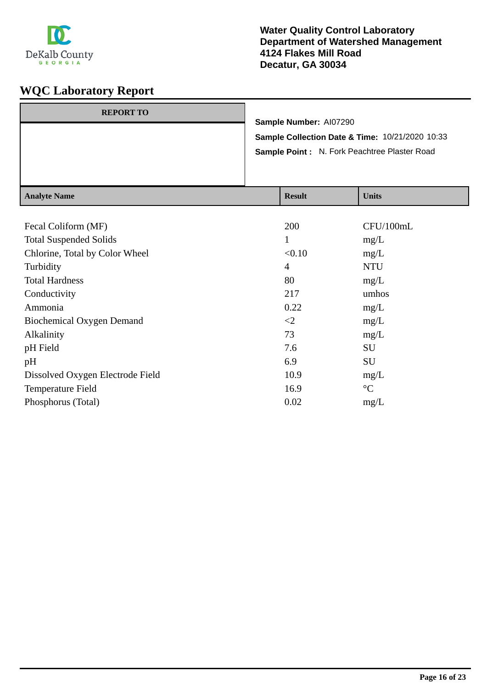

| Sample Collection Date & Time: 10/21/2020 10:33<br>Sample Point: N. Fork Peachtree Plaster Road |  |
|-------------------------------------------------------------------------------------------------|--|
| <b>REPORT TO</b><br>Sample Number: AI07290                                                      |  |
|                                                                                                 |  |

| <b>Analyte Name</b>              | <b>Result</b>  | <b>Units</b>    |
|----------------------------------|----------------|-----------------|
|                                  |                |                 |
| Fecal Coliform (MF)              | 200            | CFU/100mL       |
| <b>Total Suspended Solids</b>    | 1              | mg/L            |
| Chlorine, Total by Color Wheel   | < 0.10         | mg/L            |
| Turbidity                        | $\overline{4}$ | <b>NTU</b>      |
| <b>Total Hardness</b>            | 80             | mg/L            |
| Conductivity                     | 217            | umhos           |
| Ammonia                          | 0.22           | mg/L            |
| <b>Biochemical Oxygen Demand</b> | $\leq$         | mg/L            |
| Alkalinity                       | 73             | mg/L            |
| pH Field                         | 7.6            | SU              |
| pH                               | 6.9            | SU              |
| Dissolved Oxygen Electrode Field | 10.9           | mg/L            |
| Temperature Field                | 16.9           | $\rm ^{\circ}C$ |
| Phosphorus (Total)               | 0.02           | mg/L            |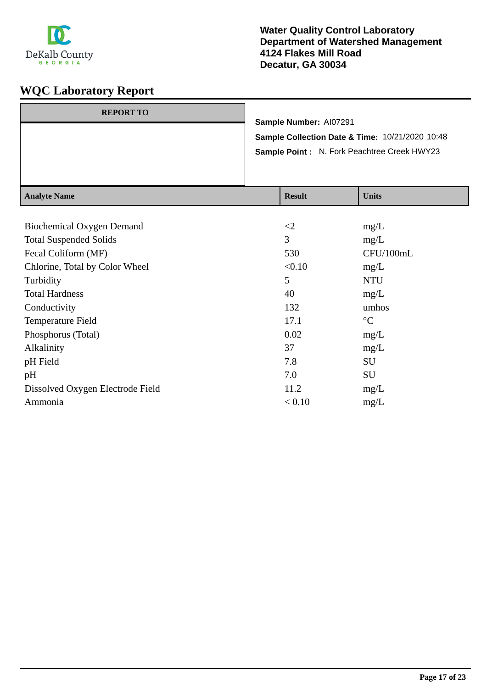

| <b>REPORT TO</b> | Sample Number: Al07291                                                                         |  |
|------------------|------------------------------------------------------------------------------------------------|--|
|                  | Sample Collection Date & Time: 10/21/2020 10:48<br>Sample Point: N. Fork Peachtree Creek HWY23 |  |
|                  |                                                                                                |  |

| <b>Result</b> | <b>Units</b>    |
|---------------|-----------------|
|               |                 |
| $\leq$ 2      | mg/L            |
| 3             | mg/L            |
| 530           | CFU/100mL       |
| < 0.10        | mg/L            |
| 5             | <b>NTU</b>      |
| 40            | mg/L            |
| 132           | umhos           |
| 17.1          | $\rm ^{\circ}C$ |
| 0.02          | mg/L            |
| 37            | mg/L            |
| 7.8           | SU              |
| 7.0           | SU              |
| 11.2          | mg/L            |
| < 0.10        | mg/L            |
|               |                 |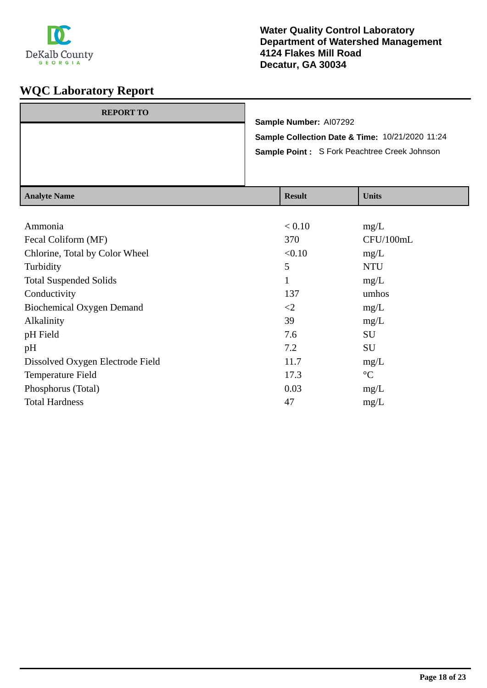

| <b>REPORT TO</b> |                                                                                                 | Sample Number: AI07292      |                               |
|------------------|-------------------------------------------------------------------------------------------------|-----------------------------|-------------------------------|
|                  |                                                                                                 |                             |                               |
|                  | Sample Collection Date & Time: 10/21/2020 11:24<br>Sample Point: S Fork Peachtree Creek Johnson |                             |                               |
|                  |                                                                                                 |                             |                               |
|                  |                                                                                                 |                             |                               |
| Anolyte Nome     |                                                                                                 | $\mathbf{D}_{\alpha c}$ ult | $\mathbf{I}$ $\mathbf{Inifc}$ |

| Analyte Name                     | nesun        | <b>UIIII</b> S  |
|----------------------------------|--------------|-----------------|
|                                  |              |                 |
| Ammonia                          | < 0.10       | mg/L            |
| Fecal Coliform (MF)              | 370          | CFU/100mL       |
| Chlorine, Total by Color Wheel   | < 0.10       | mg/L            |
| Turbidity                        | 5            | <b>NTU</b>      |
| <b>Total Suspended Solids</b>    | $\mathbf{1}$ | mg/L            |
| Conductivity                     | 137          | umhos           |
| <b>Biochemical Oxygen Demand</b> | $\leq$ 2     | mg/L            |
| Alkalinity                       | 39           | mg/L            |
| pH Field                         | 7.6          | SU              |
| pH                               | 7.2          | SU              |
| Dissolved Oxygen Electrode Field | 11.7         | mg/L            |
| Temperature Field                | 17.3         | $\rm ^{\circ}C$ |
| Phosphorus (Total)               | 0.03         | mg/L            |
| <b>Total Hardness</b>            | 47           | mg/L            |
|                                  |              |                 |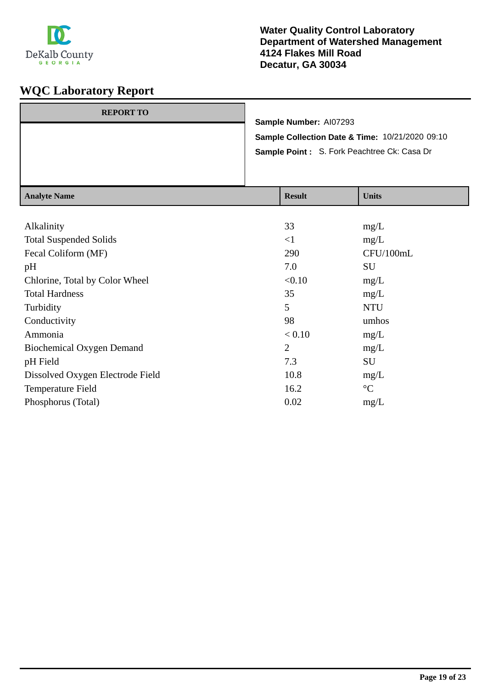

| <b>REPORT TO</b> | Sample Number: AI07293                                                                                    |
|------------------|-----------------------------------------------------------------------------------------------------------|
|                  | <b>Sample Collection Date &amp; Time: 10/21/2020 09:10</b><br>Sample Point: S. Fork Peachtree Ck: Casa Dr |
|                  |                                                                                                           |
|                  |                                                                                                           |

| <b>Result</b>  | <b>Units</b>    |
|----------------|-----------------|
|                |                 |
| 33             | mg/L            |
| $\leq$ 1       | mg/L            |
| 290            | CFU/100mL       |
| 7.0            | SU              |
| < 0.10         | mg/L            |
| 35             | mg/L            |
| 5              | <b>NTU</b>      |
| 98             | umhos           |
| < 0.10         | mg/L            |
| $\overline{2}$ | mg/L            |
| 7.3            | SU              |
| 10.8           | mg/L            |
| 16.2           | $\rm ^{\circ}C$ |
| 0.02           | mg/L            |
|                |                 |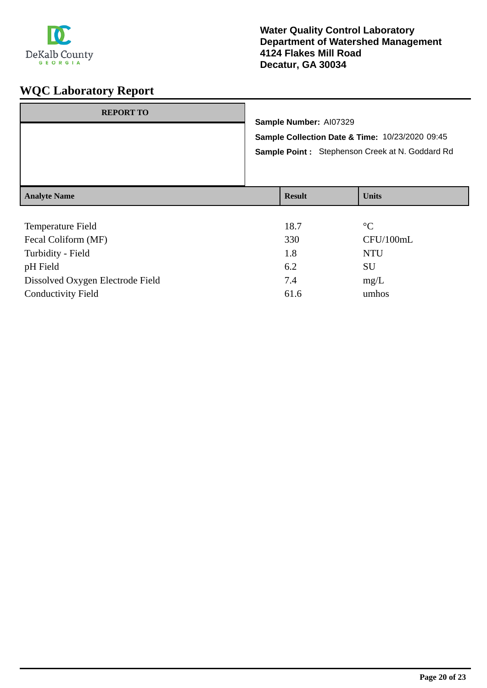

| <b>REPORT TO</b>    | Sample Number: AI07329<br>Sample Collection Date & Time: 10/23/2020 09:45<br>Sample Point: Stephenson Creek at N. Goddard Rd |               |              |
|---------------------|------------------------------------------------------------------------------------------------------------------------------|---------------|--------------|
| <b>Analyte Name</b> |                                                                                                                              | <b>Result</b> | <b>Units</b> |
|                     |                                                                                                                              |               |              |

| Temperature Field                | 18.7 | $\rm ^{\circ}C$ |
|----------------------------------|------|-----------------|
| Fecal Coliform (MF)              | 330  | CFU/100mL       |
| Turbidity - Field                | 1.8  | <b>NTU</b>      |
| pH Field                         | 6.2  | SU              |
| Dissolved Oxygen Electrode Field | 7.4  | mg/L            |
| <b>Conductivity Field</b>        | 61.6 | umhos           |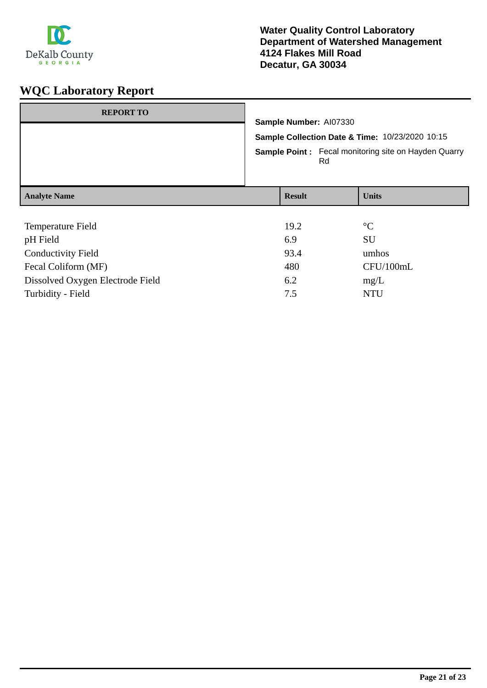

# **WQC Laboratory Report**

| <b>REPORT TO</b>                 |                                                                                                                                                |  |                 |
|----------------------------------|------------------------------------------------------------------------------------------------------------------------------------------------|--|-----------------|
|                                  | Sample Number: AI07330<br>Sample Collection Date & Time: 10/23/2020 10:15<br><b>Sample Point:</b> Fecal monitoring site on Hayden Quarry<br>Rd |  |                 |
|                                  |                                                                                                                                                |  |                 |
|                                  |                                                                                                                                                |  |                 |
| <b>Analyte Name</b>              | <b>Result</b>                                                                                                                                  |  | <b>Units</b>    |
|                                  |                                                                                                                                                |  |                 |
| Temperature Field                | 19.2                                                                                                                                           |  | $\rm ^{\circ}C$ |
| pH Field                         | 6.9                                                                                                                                            |  | <b>SU</b>       |
| <b>Conductivity Field</b>        | 93.4                                                                                                                                           |  | umhos           |
| Fecal Coliform (MF)              | 480                                                                                                                                            |  | CFU/100mL       |
| Dissolved Oxygen Electrode Field | 6.2                                                                                                                                            |  | mg/L            |

Turbidity - Field NTU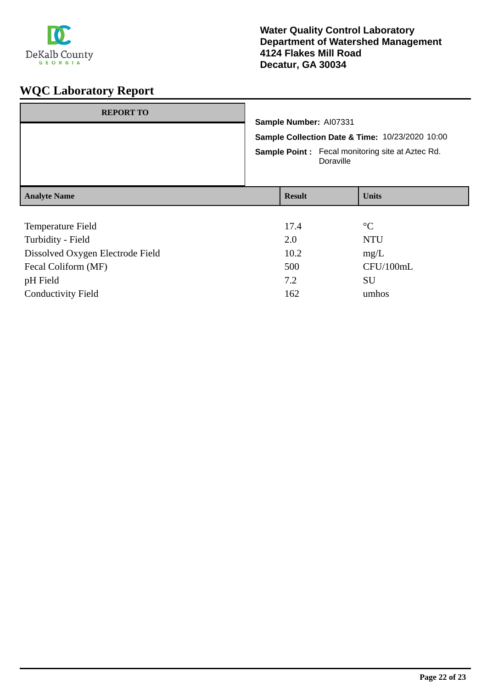

# **WQC Laboratory Report**

| <b>REPORT TO</b>                 | Sample Number: AI07331<br>Sample Collection Date & Time: 10/23/2020 10:00<br><b>Sample Point:</b> Fecal monitoring site at Aztec Rd.<br>Doraville |  |                 |
|----------------------------------|---------------------------------------------------------------------------------------------------------------------------------------------------|--|-----------------|
| <b>Analyte Name</b>              | <b>Result</b>                                                                                                                                     |  | <b>Units</b>    |
| Temperature Field                | 17.4                                                                                                                                              |  | $\rm ^{\circ}C$ |
| Turbidity - Field                | 2.0                                                                                                                                               |  | <b>NTU</b>      |
| Dissolved Oxygen Electrode Field | 10.2                                                                                                                                              |  | mg/L            |
| Fecal Coliform (MF)              | 500                                                                                                                                               |  | CFU/100mL       |
| pH Field                         | 7.2                                                                                                                                               |  | SU              |

Conductivity Field 162 umhos